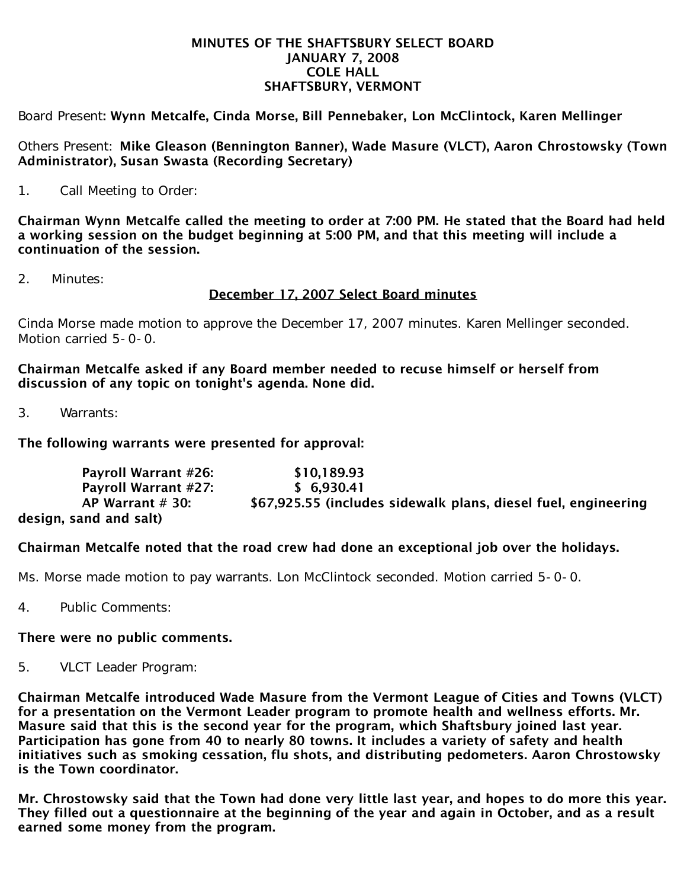#### MINUTES OF THE SHAFTSBURY SELECT BOARD JANUARY 7, 2008 COLE HALL SHAFTSBURY, VERMONT

Board Present: Wynn Metcalfe, Cinda Morse, Bill Pennebaker, Lon McClintock, Karen Mellinger

Others Present: Mike Gleason (Bennington Banner), Wade Masure (VLCT), Aaron Chrostowsky (Town Administrator), Susan Swasta (Recording Secretary)

1. Call Meeting to Order:

Chairman Wynn Metcalfe called the meeting to order at 7:00 PM. He stated that the Board had held a working session on the budget beginning at 5:00 PM, and that this meeting will include a continuation of the session.

2. Minutes:

## December 17, 2007 Select Board minutes

Cinda Morse made motion to approve the December 17, 2007 minutes. Karen Mellinger seconded. Motion carried 5-0-0.

Chairman Metcalfe asked if any Board member needed to recuse himself or herself from discussion of any topic on tonight's agenda. None did.

3. Warrants:

### The following warrants were presented for approval:

 Payroll Warrant #26: \$10,189.93 Payroll Warrant #27: \$ 6,930.41 AP Warrant # 30: \$67,925.55 (includes sidewalk plans, diesel fuel, engineering design, sand and salt)

## Chairman Metcalfe noted that the road crew had done an exceptional job over the holidays.

Ms. Morse made motion to pay warrants. Lon McClintock seconded. Motion carried 5-0-0.

4. Public Comments:

#### There were no public comments.

5. VLCT Leader Program:

Chairman Metcalfe introduced Wade Masure from the Vermont League of Cities and Towns (VLCT) for a presentation on the Vermont Leader program to promote health and wellness efforts. Mr. Masure said that this is the second year for the program, which Shaftsbury joined last year. Participation has gone from 40 to nearly 80 towns. It includes a variety of safety and health initiatives such as smoking cessation, flu shots, and distributing pedometers. Aaron Chrostowsky is the Town coordinator.

Mr. Chrostowsky said that the Town had done very little last year, and hopes to do more this year. They filled out a questionnaire at the beginning of the year and again in October, and as a result earned some money from the program.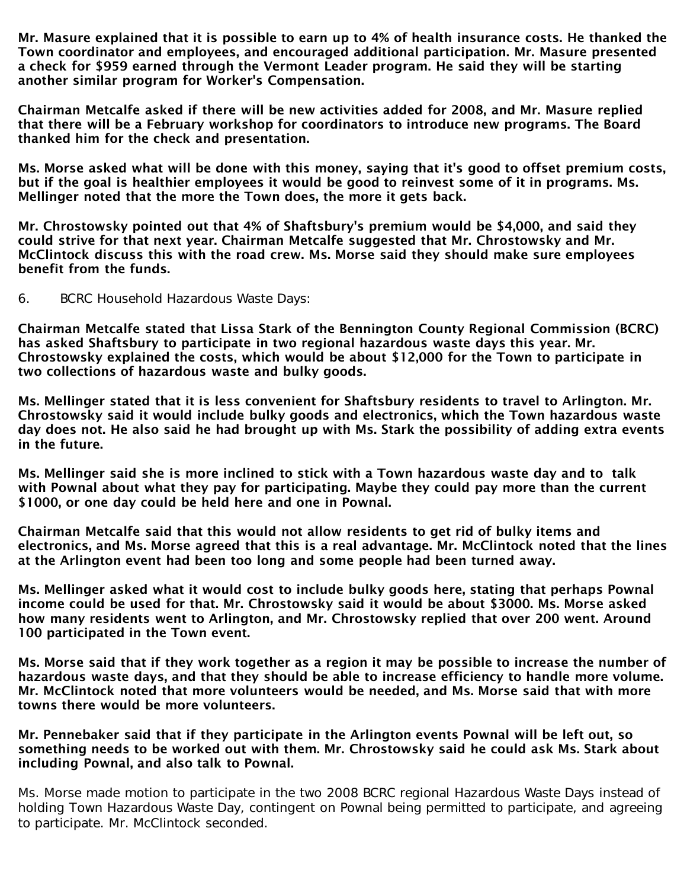Mr. Masure explained that it is possible to earn up to 4% of health insurance costs. He thanked the Town coordinator and employees, and encouraged additional participation. Mr. Masure presented a check for \$959 earned through the Vermont Leader program. He said they will be starting another similar program for Worker's Compensation.

Chairman Metcalfe asked if there will be new activities added for 2008, and Mr. Masure replied that there will be a February workshop for coordinators to introduce new programs. The Board thanked him for the check and presentation.

Ms. Morse asked what will be done with this money, saying that it's good to offset premium costs, but if the goal is healthier employees it would be good to reinvest some of it in programs. Ms. Mellinger noted that the more the Town does, the more it gets back.

Mr. Chrostowsky pointed out that 4% of Shaftsbury's premium would be \$4,000, and said they could strive for that next year. Chairman Metcalfe suggested that Mr. Chrostowsky and Mr. McClintock discuss this with the road crew. Ms. Morse said they should make sure employees benefit from the funds.

6. BCRC Household Hazardous Waste Days:

Chairman Metcalfe stated that Lissa Stark of the Bennington County Regional Commission (BCRC) has asked Shaftsbury to participate in two regional hazardous waste days this year. Mr. Chrostowsky explained the costs, which would be about \$12,000 for the Town to participate in two collections of hazardous waste and bulky goods.

Ms. Mellinger stated that it is less convenient for Shaftsbury residents to travel to Arlington. Mr. Chrostowsky said it would include bulky goods and electronics, which the Town hazardous waste day does not. He also said he had brought up with Ms. Stark the possibility of adding extra events in the future.

Ms. Mellinger said she is more inclined to stick with a Town hazardous waste day and to talk with Pownal about what they pay for participating. Maybe they could pay more than the current \$1000, or one day could be held here and one in Pownal.

Chairman Metcalfe said that this would not allow residents to get rid of bulky items and electronics, and Ms. Morse agreed that this is a real advantage. Mr. McClintock noted that the lines at the Arlington event had been too long and some people had been turned away.

Ms. Mellinger asked what it would cost to include bulky goods here, stating that perhaps Pownal income could be used for that. Mr. Chrostowsky said it would be about \$3000. Ms. Morse asked how many residents went to Arlington, and Mr. Chrostowsky replied that over 200 went. Around 100 participated in the Town event.

Ms. Morse said that if they work together as a region it may be possible to increase the number of hazardous waste days, and that they should be able to increase efficiency to handle more volume. Mr. McClintock noted that more volunteers would be needed, and Ms. Morse said that with more towns there would be more volunteers.

Mr. Pennebaker said that if they participate in the Arlington events Pownal will be left out, so something needs to be worked out with them. Mr. Chrostowsky said he could ask Ms. Stark about including Pownal, and also talk to Pownal.

Ms. Morse made motion to participate in the two 2008 BCRC regional Hazardous Waste Days instead of holding Town Hazardous Waste Day, contingent on Pownal being permitted to participate, and agreeing to participate. Mr. McClintock seconded.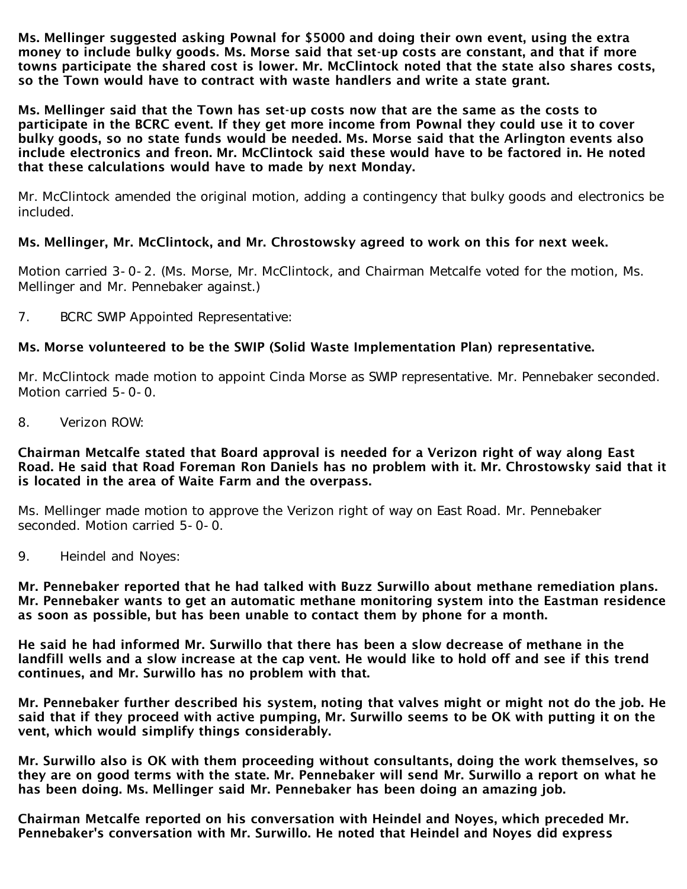Ms. Mellinger suggested asking Pownal for \$5000 and doing their own event, using the extra money to include bulky goods. Ms. Morse said that set-up costs are constant, and that if more towns participate the shared cost is lower. Mr. McClintock noted that the state also shares costs, so the Town would have to contract with waste handlers and write a state grant.

Ms. Mellinger said that the Town has set-up costs now that are the same as the costs to participate in the BCRC event. If they get more income from Pownal they could use it to cover bulky goods, so no state funds would be needed. Ms. Morse said that the Arlington events also include electronics and freon. Mr. McClintock said these would have to be factored in. He noted that these calculations would have to made by next Monday.

Mr. McClintock amended the original motion, adding a contingency that bulky goods and electronics be included.

# Ms. Mellinger, Mr. McClintock, and Mr. Chrostowsky agreed to work on this for next week.

Motion carried 3-0-2. (Ms. Morse, Mr. McClintock, and Chairman Metcalfe voted for the motion, Ms. Mellinger and Mr. Pennebaker against.)

7. BCRC SWIP Appointed Representative:

## Ms. Morse volunteered to be the SWIP (Solid Waste Implementation Plan) representative.

Mr. McClintock made motion to appoint Cinda Morse as SWIP representative. Mr. Pennebaker seconded. Motion carried 5-0-0.

8. Verizon ROW:

#### Chairman Metcalfe stated that Board approval is needed for a Verizon right of way along East Road. He said that Road Foreman Ron Daniels has no problem with it. Mr. Chrostowsky said that it is located in the area of Waite Farm and the overpass.

Ms. Mellinger made motion to approve the Verizon right of way on East Road. Mr. Pennebaker seconded. Motion carried 5-0-0.

9. Heindel and Noyes:

Mr. Pennebaker reported that he had talked with Buzz Surwillo about methane remediation plans. Mr. Pennebaker wants to get an automatic methane monitoring system into the Eastman residence as soon as possible, but has been unable to contact them by phone for a month.

He said he had informed Mr. Surwillo that there has been a slow decrease of methane in the landfill wells and a slow increase at the cap vent. He would like to hold off and see if this trend continues, and Mr. Surwillo has no problem with that.

Mr. Pennebaker further described his system, noting that valves might or might not do the job. He said that if they proceed with active pumping, Mr. Surwillo seems to be OK with putting it on the vent, which would simplify things considerably.

Mr. Surwillo also is OK with them proceeding without consultants, doing the work themselves, so they are on good terms with the state. Mr. Pennebaker will send Mr. Surwillo a report on what he has been doing. Ms. Mellinger said Mr. Pennebaker has been doing an amazing job.

Chairman Metcalfe reported on his conversation with Heindel and Noyes, which preceded Mr. Pennebaker's conversation with Mr. Surwillo. He noted that Heindel and Noyes did express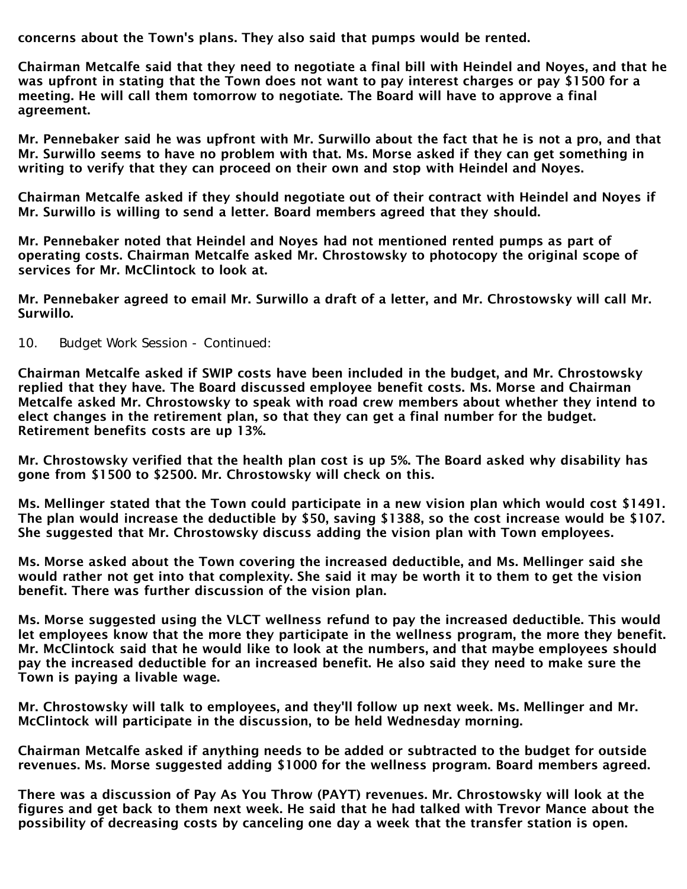concerns about the Town's plans. They also said that pumps would be rented.

Chairman Metcalfe said that they need to negotiate a final bill with Heindel and Noyes, and that he was upfront in stating that the Town does not want to pay interest charges or pay \$1500 for a meeting. He will call them tomorrow to negotiate. The Board will have to approve a final agreement.

Mr. Pennebaker said he was upfront with Mr. Surwillo about the fact that he is not a pro, and that Mr. Surwillo seems to have no problem with that. Ms. Morse asked if they can get something in writing to verify that they can proceed on their own and stop with Heindel and Noyes.

Chairman Metcalfe asked if they should negotiate out of their contract with Heindel and Noyes if Mr. Surwillo is willing to send a letter. Board members agreed that they should.

Mr. Pennebaker noted that Heindel and Noyes had not mentioned rented pumps as part of operating costs. Chairman Metcalfe asked Mr. Chrostowsky to photocopy the original scope of services for Mr. McClintock to look at.

Mr. Pennebaker agreed to email Mr. Surwillo a draft of a letter, and Mr. Chrostowsky will call Mr. Surwillo.

10. Budget Work Session - Continued:

Chairman Metcalfe asked if SWIP costs have been included in the budget, and Mr. Chrostowsky replied that they have. The Board discussed employee benefit costs. Ms. Morse and Chairman Metcalfe asked Mr. Chrostowsky to speak with road crew members about whether they intend to elect changes in the retirement plan, so that they can get a final number for the budget. Retirement benefits costs are up 13%.

Mr. Chrostowsky verified that the health plan cost is up 5%. The Board asked why disability has gone from \$1500 to \$2500. Mr. Chrostowsky will check on this.

Ms. Mellinger stated that the Town could participate in a new vision plan which would cost \$1491. The plan would increase the deductible by \$50, saving \$1388, so the cost increase would be \$107. She suggested that Mr. Chrostowsky discuss adding the vision plan with Town employees.

Ms. Morse asked about the Town covering the increased deductible, and Ms. Mellinger said she would rather not get into that complexity. She said it may be worth it to them to get the vision benefit. There was further discussion of the vision plan.

Ms. Morse suggested using the VLCT wellness refund to pay the increased deductible. This would let employees know that the more they participate in the wellness program, the more they benefit. Mr. McClintock said that he would like to look at the numbers, and that maybe employees should pay the increased deductible for an increased benefit. He also said they need to make sure the Town is paying a livable wage.

Mr. Chrostowsky will talk to employees, and they'll follow up next week. Ms. Mellinger and Mr. McClintock will participate in the discussion, to be held Wednesday morning.

Chairman Metcalfe asked if anything needs to be added or subtracted to the budget for outside revenues. Ms. Morse suggested adding \$1000 for the wellness program. Board members agreed.

There was a discussion of Pay As You Throw (PAYT) revenues. Mr. Chrostowsky will look at the figures and get back to them next week. He said that he had talked with Trevor Mance about the possibility of decreasing costs by canceling one day a week that the transfer station is open.